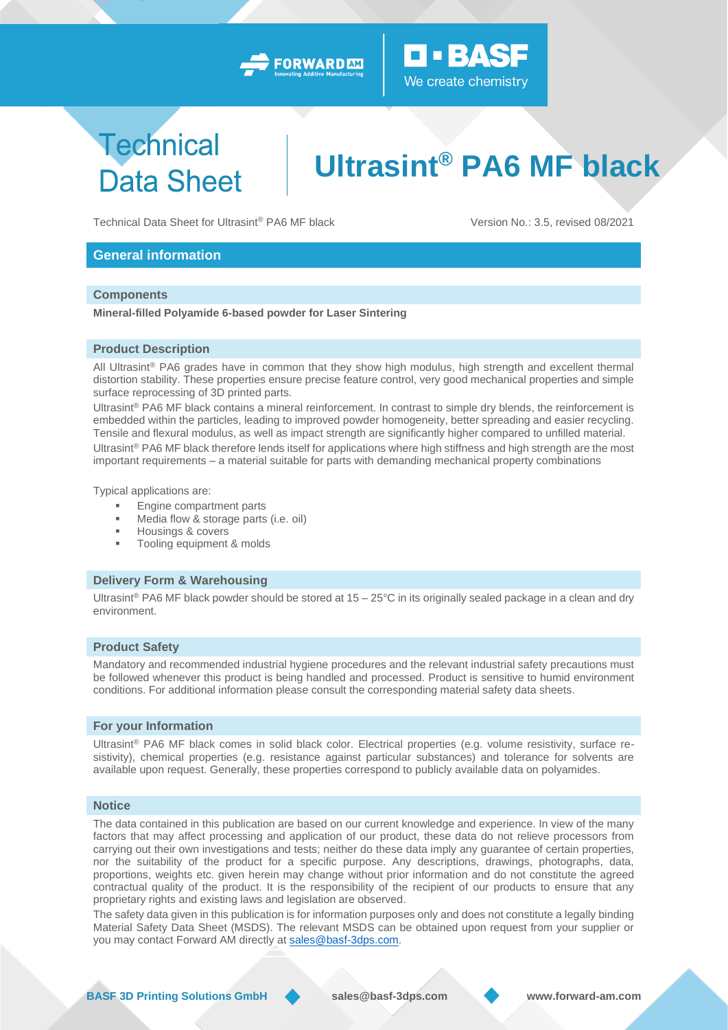

## **Technical Data Sheet**

# **Ultrasint® PA6 MF black**

 $\blacksquare$   $\blacksquare$ 

We create chemistry

Technical Data Sheet for Ultrasint<sup>®</sup> PA6 MF black Version No.: 3.5, revised 08/2021

#### **General information**

#### **Components**

**Mineral-filled Polyamide 6-based powder for Laser Sintering**

#### **Product Description**

All Ultrasint<sup>®</sup> PA6 grades have in common that they show high modulus, high strength and excellent thermal distortion stability. These properties ensure precise feature control, very good mechanical properties and simple surface reprocessing of 3D printed parts.

Ultrasint® PA6 MF black contains a mineral reinforcement. In contrast to simple dry blends, the reinforcement is embedded within the particles, leading to improved powder homogeneity, better spreading and easier recycling. Tensile and flexural modulus, as well as impact strength are significantly higher compared to unfilled material. Ultrasint<sup>®</sup> PA6 MF black therefore lends itself for applications where high stiffness and high strength are the most important requirements – a material suitable for parts with demanding mechanical property combinations

Typical applications are:

- Engine compartment parts
- Media flow & storage parts (i.e. oil)
- Housings & covers
- Tooling equipment & molds

#### **Delivery Form & Warehousing**

Ultrasint® PA6 MF black powder should be stored at  $15 - 25$ °C in its originally sealed package in a clean and dry environment.

#### **Product Safety**

Mandatory and recommended industrial hygiene procedures and the relevant industrial safety precautions must be followed whenever this product is being handled and processed. Product is sensitive to humid environment conditions. For additional information please consult the corresponding material safety data sheets.

#### **For your Information**

Ultrasint® PA6 MF black comes in solid black color. Electrical properties (e.g. volume resistivity, surface resistivity), chemical properties (e.g. resistance against particular substances) and tolerance for solvents are available upon request. Generally, these properties correspond to publicly available data on polyamides.

#### **Notice**

The data contained in this publication are based on our current knowledge and experience. In view of the many factors that may affect processing and application of our product, these data do not relieve processors from carrying out their own investigations and tests; neither do these data imply any guarantee of certain properties, nor the suitability of the product for a specific purpose. Any descriptions, drawings, photographs, data, proportions, weights etc. given herein may change without prior information and do not constitute the agreed contractual quality of the product. It is the responsibility of the recipient of our products to ensure that any proprietary rights and existing laws and legislation are observed.

The safety data given in this publication is for information purposes only and does not constitute a legally binding Material Safety Data Sheet (MSDS). The relevant MSDS can be obtained upon request from your supplier or you may contact Forward AM directly at [sales@basf-3dps.com.](mailto:sales@basf-3dps.com)

**BASF 3D Printing Solutions GmbH sales@basf-3dps.com www.forward-am.com**